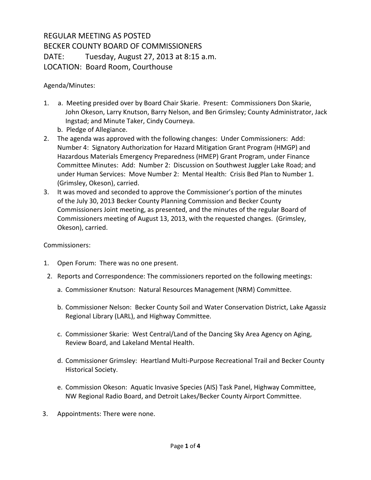## REGULAR MEETING AS POSTED BECKER COUNTY BOARD OF COMMISSIONERS DATE: Tuesday, August 27, 2013 at 8:15 a.m. LOCATION: Board Room, Courthouse

## Agenda/Minutes:

- 1. a. Meeting presided over by Board Chair Skarie. Present: Commissioners Don Skarie, John Okeson, Larry Knutson, Barry Nelson, and Ben Grimsley; County Administrator, Jack Ingstad; and Minute Taker, Cindy Courneya.
	- b. Pledge of Allegiance.
- 2. The agenda was approved with the following changes: Under Commissioners: Add: Number 4: Signatory Authorization for Hazard Mitigation Grant Program (HMGP) and Hazardous Materials Emergency Preparedness (HMEP) Grant Program, under Finance Committee Minutes: Add: Number 2: Discussion on Southwest Juggler Lake Road; and under Human Services: Move Number 2: Mental Health: Crisis Bed Plan to Number 1. (Grimsley, Okeson), carried.
- 3. It was moved and seconded to approve the Commissioner's portion of the minutes of the July 30, 2013 Becker County Planning Commission and Becker County Commissioners Joint meeting, as presented, and the minutes of the regular Board of Commissioners meeting of August 13, 2013, with the requested changes. (Grimsley, Okeson), carried.

## Commissioners:

- 1. Open Forum: There was no one present.
- 2. Reports and Correspondence: The commissioners reported on the following meetings:
	- a. Commissioner Knutson: Natural Resources Management (NRM) Committee.
	- b. Commissioner Nelson: Becker County Soil and Water Conservation District, Lake Agassiz Regional Library (LARL), and Highway Committee.
	- c. Commissioner Skarie: West Central/Land of the Dancing Sky Area Agency on Aging, Review Board, and Lakeland Mental Health.
	- d. Commissioner Grimsley: Heartland Multi-Purpose Recreational Trail and Becker County Historical Society.
	- e. Commission Okeson: Aquatic Invasive Species (AIS) Task Panel, Highway Committee, NW Regional Radio Board, and Detroit Lakes/Becker County Airport Committee.
- 3. Appointments: There were none.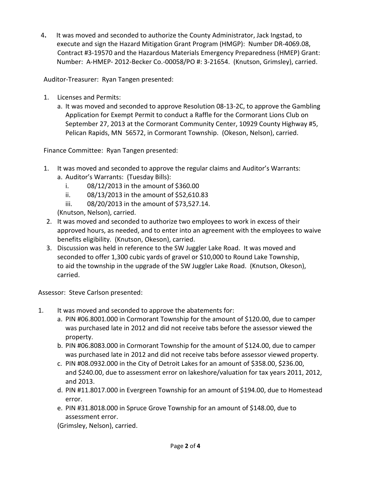4**.** It was moved and seconded to authorize the County Administrator, Jack Ingstad, to execute and sign the Hazard Mitigation Grant Program (HMGP): Number DR-4069.08, Contract #3-19570 and the Hazardous Materials Emergency Preparedness (HMEP) Grant: Number: A-HMEP- 2012-Becker Co.-00058/PO #: 3-21654. (Knutson, Grimsley), carried.

Auditor-Treasurer: Ryan Tangen presented:

- 1. Licenses and Permits:
	- a. It was moved and seconded to approve Resolution 08-13-2C, to approve the Gambling Application for Exempt Permit to conduct a Raffle for the Cormorant Lions Club on September 27, 2013 at the Cormorant Community Center, 10929 County Highway #5, Pelican Rapids, MN 56572, in Cormorant Township. (Okeson, Nelson), carried.

Finance Committee: Ryan Tangen presented:

- 1. It was moved and seconded to approve the regular claims and Auditor's Warrants:
	- a. Auditor's Warrants: (Tuesday Bills):
		- i. 08/12/2013 in the amount of \$360.00
		- ii. 08/13/2013 in the amount of \$52,610.83
		- iii. 08/20/2013 in the amount of \$73,527.14.

(Knutson, Nelson), carried.

- 2. It was moved and seconded to authorize two employees to work in excess of their approved hours, as needed, and to enter into an agreement with the employees to waive benefits eligibility. (Knutson, Okeson), carried.
- 3. Discussion was held in reference to the SW Juggler Lake Road. It was moved and seconded to offer 1,300 cubic yards of gravel or \$10,000 to Round Lake Township, to aid the township in the upgrade of the SW Juggler Lake Road. (Knutson, Okeson), carried.

Assessor: Steve Carlson presented:

- 1. It was moved and seconded to approve the abatements for:
	- a. PIN #06.8001.000 in Cormorant Township for the amount of \$120.00, due to camper was purchased late in 2012 and did not receive tabs before the assessor viewed the property.
	- b. PIN #06.8083.000 in Cormorant Township for the amount of \$124.00, due to camper was purchased late in 2012 and did not receive tabs before assessor viewed property.
	- c. PIN #08.0932.000 in the City of Detroit Lakes for an amount of \$358.00, \$236.00, and \$240.00, due to assessment error on lakeshore/valuation for tax years 2011, 2012, and 2013.
	- d. PIN #11.8017.000 in Evergreen Township for an amount of \$194.00, due to Homestead error.
	- e. PIN #31.8018.000 in Spruce Grove Township for an amount of \$148.00, due to assessment error.

(Grimsley, Nelson), carried.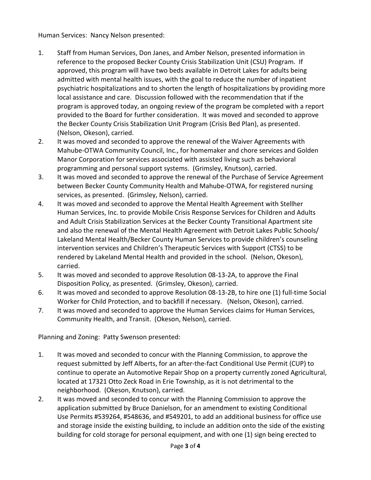Human Services: Nancy Nelson presented:

- 1. Staff from Human Services, Don Janes, and Amber Nelson, presented information in reference to the proposed Becker County Crisis Stabilization Unit (CSU) Program. If approved, this program will have two beds available in Detroit Lakes for adults being admitted with mental health issues, with the goal to reduce the number of inpatient psychiatric hospitalizations and to shorten the length of hospitalizations by providing more local assistance and care. Discussion followed with the recommendation that if the program is approved today, an ongoing review of the program be completed with a report provided to the Board for further consideration. It was moved and seconded to approve the Becker County Crisis Stabilization Unit Program (Crisis Bed Plan), as presented. (Nelson, Okeson), carried.
- 2. It was moved and seconded to approve the renewal of the Waiver Agreements with Mahube-OTWA Community Council, Inc., for homemaker and chore services and Golden Manor Corporation for services associated with assisted living such as behavioral programming and personal support systems. (Grimsley, Knutson), carried.
- 3. It was moved and seconded to approve the renewal of the Purchase of Service Agreement between Becker County Community Health and Mahube-OTWA, for registered nursing services, as presented. (Grimsley, Nelson), carried.
- 4. It was moved and seconded to approve the Mental Health Agreement with Stellher Human Services, Inc. to provide Mobile Crisis Response Services for Children and Adults and Adult Crisis Stabilization Services at the Becker County Transitional Apartment site and also the renewal of the Mental Health Agreement with Detroit Lakes Public Schools/ Lakeland Mental Health/Becker County Human Services to provide children's counseling intervention services and Children's Therapeutic Services with Support (CTSS) to be rendered by Lakeland Mental Health and provided in the school. (Nelson, Okeson), carried.
- 5. It was moved and seconded to approve Resolution 08-13-2A, to approve the Final Disposition Policy, as presented. (Grimsley, Okeson), carried.
- 6. It was moved and seconded to approve Resolution 08-13-2B, to hire one (1) full-time Social Worker for Child Protection, and to backfill if necessary. (Nelson, Okeson), carried.
- 7. It was moved and seconded to approve the Human Services claims for Human Services, Community Health, and Transit. (Okeson, Nelson), carried.

Planning and Zoning: Patty Swenson presented:

- 1. It was moved and seconded to concur with the Planning Commission, to approve the request submitted by Jeff Alberts, for an after-the-fact Conditional Use Permit (CUP) to continue to operate an Automotive Repair Shop on a property currently zoned Agricultural, located at 17321 Otto Zeck Road in Erie Township, as it is not detrimental to the neighborhood. (Okeson, Knutson), carried.
- 2. It was moved and seconded to concur with the Planning Commission to approve the application submitted by Bruce Danielson, for an amendment to existing Conditional Use Permits #539264, #548636, and #549201, to add an additional business for office use and storage inside the existing building, to include an addition onto the side of the existing building for cold storage for personal equipment, and with one (1) sign being erected to